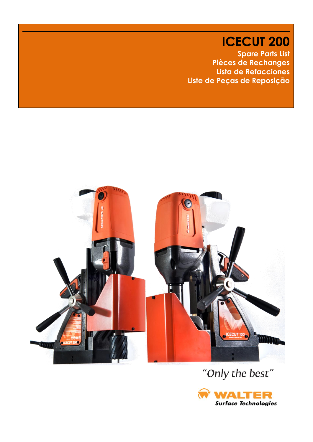**ICECUT 200 Spare Parts List Pièces de Rechanges Lista de Refacciones Liste de Peças de Reposição**



# "Only the best"

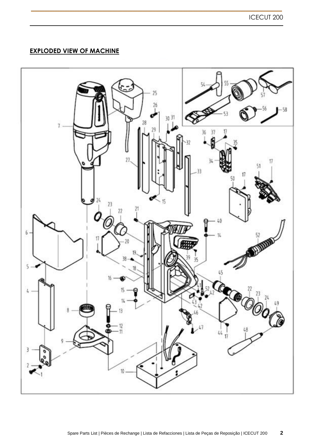## **EXPLODED VIEW OF MACHINE**

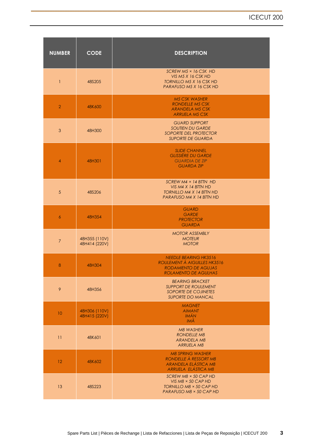| <b>NUMBER</b>   | <b>CODE</b>                    | <b>DESCRIPTION</b>                                                                                                  |
|-----------------|--------------------------------|---------------------------------------------------------------------------------------------------------------------|
| $\mathbf{1}$    | 48S205                         | SCREW $M5 \times 16$ CSK HD<br>VIS M5 X 16 CSK HD<br><b>TORNILLO M5 X 16 CSK HD</b><br>PARAFUSO M5 X 16 CSK HD      |
| $\overline{2}$  | 48K600                         | <b>M5 CSK WASHER</b><br><b>RONDELLE M5 CSK</b><br><b>ARANDELA M5 CSK</b><br><b>ARRUELA M5 CSK</b>                   |
| $\mathfrak{S}$  | 48H300                         | <b>GUARD SUPPORT</b><br><b>SOUTIEN DU GARDE</b><br><b>SOPORTE DEL PROTECTOR</b><br><b>SUPORTE DE GUARDA</b>         |
| $\overline{4}$  | 48H301                         | <b>SLIDE CHANNEL</b><br><b>GLISSIÈRE DU GARDE</b><br><b>GUARDIA DE ZIP</b><br><b>GUARDA ZIP</b>                     |
| 5 <sup>5</sup>  | 48S206                         | SCREW $M4 \times 14$ BTTN HD<br>VIS M4 X 14 BTTN HD<br><b>TORNILLO M4 X 14 BTTN HD</b><br>PARAFUSO M4 X 14 BTTN HD  |
| $\overline{6}$  | 48H354                         | <b>GUARD</b><br><b>GARDE</b><br><b>PROTECTOR</b><br><b>GUARDA</b>                                                   |
| $7\overline{ }$ | 48H355 (110V)<br>48H414 (220V) | <b>MOTOR ASSEMBLY</b><br><b>MOTEUR</b><br><b>MOTOR</b>                                                              |
| 8               | 48H304                         | <b>NEEDLE BEARING HK3516</b><br>ROULEMENT À AIGUILLES HK3516<br><b>RODAMIENTO DE AGUJAS</b><br>ROLAMENTO DE AGULHAS |
| 9               | 48H356                         | <b>BEARING BRACKET</b><br><b>SUPPORT DE ROULEMENT</b><br>SOPORTE DE COJINETES<br><b>SUPORTE DO MANCAL</b>           |
| 10              | 48H306 (110V)<br>48H415 (220V) | <b>MAGNET</b><br><b>AIMANT</b><br><b>IMÁN</b><br>IMÃ                                                                |
| 11              | 48K601                         | M8 WASHER<br><b>RONDELLE M8</b><br>ARANDELA M8<br><b>ARRUELA M8</b>                                                 |
| 12              | 48K602                         | <b>M8 SPRING WASHER</b><br>RONDELLE À RESSORT M8<br><b>ARANDELA ELÁSTICA M8</b><br>ARRUELA ELÁSTICA M8              |
| 13              | 48S223                         | SCREW M8 × 50 CAP HD<br>VIS $M8 \times 50$ CAP HD<br>TORNILLO M8 × 50 CAP HD<br>PARAFUSO M8 × 50 CAP HD             |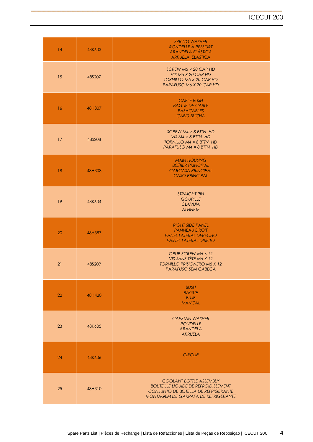| 14 | 48K603 | <b>SPRING WASHER</b><br>RONDELLE À RESSORT<br><b>ARANDELA ELÁSTICA</b><br><b>ARRUELA ELÁSTICA</b>                                                           |
|----|--------|-------------------------------------------------------------------------------------------------------------------------------------------------------------|
| 15 | 48S207 | SCREW M6 × 20 CAP HD<br>VIS M6 X 20 CAP HD<br><b>TORNILLO M6 X 20 CAP HD</b><br>PARAFUSO M6 X 20 CAP HD                                                     |
| 16 | 48H307 | <b>CABLE BUSH</b><br><b>BAGUE DE CABLE</b><br>PASACABLES<br><b>CABO BUCHA</b>                                                                               |
| 17 | 48S208 | SCREW M4 × 8 BTTN HD<br>VIS $M4 \times 8$ BTTN HD<br>TORNILLO M4 × 8 BTTN HD<br>PARAFUSO M4 × 8 BTTN HD                                                     |
| 18 | 48H308 | <b>MAIN HOUSING</b><br><b>BOITIER PRINCIPAL</b><br><b>CARCASA PRINCIPAL</b><br><b>CASO PRINCIPAL</b>                                                        |
| 19 | 48K604 | <b>STRAIGHT PIN</b><br><b>GOUPILLE</b><br><b>CLAVIJIA</b><br><b>ALFINETE</b>                                                                                |
| 20 | 48H357 | <b>RIGHT SIDE PANEL</b><br><b>PANNEAU DROIT</b><br><b>PANEL LATERAL DERECHO</b><br><b>PAINEL LATERAL DIREITO</b>                                            |
| 21 | 48S209 | GRUB SCREW M6 × 12<br>VIS SANS TÊTE M6 X 12<br><b>TORNILLO PRISIONERO M6 X 12</b><br>PARAFUSO SEM CABEÇA                                                    |
| 22 | 48H420 | <b>BUSH</b><br><b>BAGUE</b><br><b>BUJE</b><br><b>MANCAL</b>                                                                                                 |
| 23 | 48K605 | <b>CAPSTAN WASHER</b><br><b>RONDELLE</b><br><b>ARANDELA</b><br>ARRUELA                                                                                      |
| 24 | 48K606 | <b>CIRCLIP</b>                                                                                                                                              |
| 25 | 48H310 | COOLANT BOTTLE ASSEMBLY<br><b>BOUTEILLE LIQUIDE DE REFROIDISSEMENT</b><br>CONJUNTO DE BOTELLA DE REFRIGERANTE<br><b>MONTAGEM DE GARRAFA DE REFRIGERANTE</b> |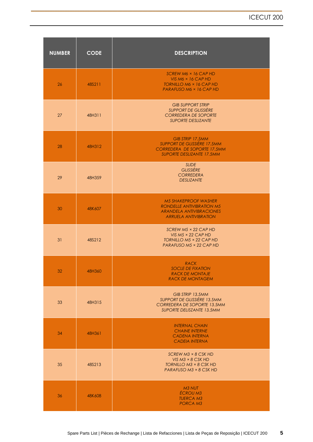| <b>NUMBER</b> | <b>CODE</b> | <b>DESCRIPTION</b>                                                                                                                      |
|---------------|-------------|-----------------------------------------------------------------------------------------------------------------------------------------|
| 26            | 48S211      | SCREW M6 × 16 CAP HD<br>$VIS M6 \times 16 CAP HD$<br><b>TORNILLO M6 × 16 CAP HD</b><br>PARAFUSO M6 × 16 CAP HD                          |
| 27            | 48H311      | <b>GIB SUPPORT STRIP</b><br><b>SUPPORT DE GLISSIÈRE</b><br><b>CORREDERA DE SOPORTE</b><br><b>SUPORTE DESLIZANTE</b>                     |
| 28            | 48H312      | <b>GIB STRIP 17.5MM</b><br><b>SUPPORT DE GLISSIÈRE 17.5MM</b><br><b>CORREDERA DE SOPORTE 17.5MM</b><br><b>SUPORTE DESLIZANTE 17.5MM</b> |
| 29            | 48H359      | <b>SLIDE</b><br><b>GLISSIÈRE</b><br><b>CORREDERA</b><br><b>DESLIZANTE</b>                                                               |
| 30            | 48K607      | <b>M5 SHAKEPROOF WASHER</b><br><b>RONDELLE ANTIVIBRATION M5</b><br><b>ARANDELA ANTIVIBRACIONES</b><br><b>ARRUELA ANTIVIBRATION</b>      |
| 31            | 48S212      | $SCREW M5 \times 22 CAP HD$<br>VIS $M5 \times 22$ CAP HD<br>TORNILLO M5 × 22 CAP HD<br>PARAFUSO M5 × 22 CAP HD                          |
| 32            | 48H360      | RACK<br><b>SOCLE DE FIXATION</b><br><b>RACK DE MONTAJE</b><br><b>RACK DE MONTAGEM</b>                                                   |
| 33            | 48H315      | GIB STRIP 13.5MM<br>SUPPORT DE GLISSIÈRE 13.5MM<br>CORREDERA DE SOPORTE 13.5MM<br>SUPORTE DELISZANTE 13.5MM                             |
| 34            | 48H361      | <b>INTERNAL CHAIN</b><br><b>CHAINE INTERNE</b><br><b>CADENA INTERNA</b><br><b>CADEIA INTERNA</b>                                        |
| 35            | 48S213      | $SCREW M3 \times 8 CSK HD$<br>VIS $M3 \times 8$ CSK HD<br>TORNILLO M3 × 8 CSK HD<br>PARAFUSO M3 × 8 CSK HD                              |
| 36            | 48K608      | M3 NUT<br><b>ÉCROU M3</b><br><b>TUERCA M3</b><br>PORCA M3                                                                               |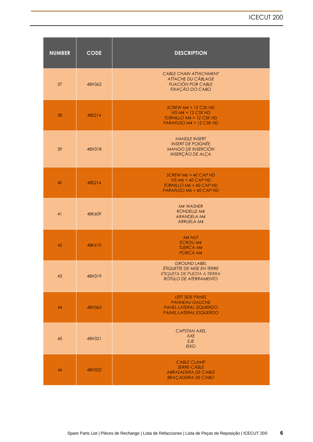| <b>NUMBER</b> | <b>CODE</b> | <b>DESCRIPTION</b>                                                                                                    |
|---------------|-------------|-----------------------------------------------------------------------------------------------------------------------|
| 37            | 48H362      | <b>CABLE CHAIN ATTACHMENT</b><br><b>ATTACHE DU CÄBLAGE</b><br><b>FIJACIÓN POR CABLE</b><br><b>FIXAÇÃO DO CABO</b>     |
| 38            | 48S214      | SCREW $M4 \times 12$ CSK HD<br>VIS $M4 \times 12$ CSK HD<br><b>TORNILLO M4 × 12 CSK HD</b><br>PARAFUSO M4 × 12 CSK HD |
| 39            | 48H318      | <b>HANDLE INSERT</b><br><b>INSERT DE POIGNÉE</b><br><b>MANGO DE INSERCIÓN</b><br><b>INSERÇÃO DE ALÇA</b>              |
| 40            | 48S214      | SCREW M6 × 40 CAP HD<br>VIS M6 $\times$ 40 CAP HD<br><b>TORNILLO M6 × 40 CAP HD</b><br>PARAFUSO M6 × 40 CAP HD        |
| 41            | 48K609      | M4 WASHER<br><b>RONDELLE M4</b><br><b>ARANDELA M4</b><br><b>ARRUELA M4</b>                                            |
| 42            | 48K610      | M4 NUT<br><b>ÉCROU M4</b><br><b>TUERCA M4</b><br><b>PORCA M4</b>                                                      |
| 43            | 48H319      | <b>GROUND LABEL</b><br>ÉTIQUETTE DE MISE EN TERRE<br>ETIQUETA DE PUESTA A TIERRA<br>RÓTULO DE ATERRAMENTO             |
| 44            | 48H363      | <b>LEFT SIDE PANEL</b><br><b>PANNEAU GAUCHE</b><br><b>PANEL LATERAL IZQUIERDO</b><br><b>PAINEL LATERAL ESQUERDO</b>   |
| 45            | 48H321      | <b>CAPSTAN AXEL</b><br>AXE<br>EJE<br><b>EIXO</b>                                                                      |
| 46            | 48H322      | <b>CABLE CLAMP</b><br><b>SERRE-CÂBLE</b><br><b>ABRAZADERA DE CABLE</b><br><b>BRAÇADEIRA DE CABO</b>                   |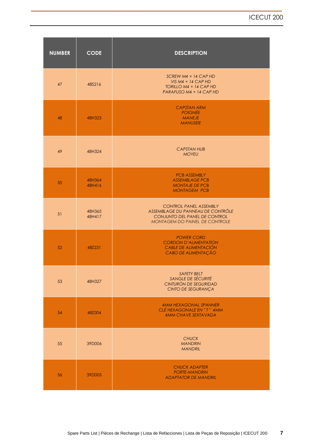| <b>NUMBER</b> | <b>CODE</b>      | <b>DESCRIPTION</b>                                                                                                                           |
|---------------|------------------|----------------------------------------------------------------------------------------------------------------------------------------------|
| 47            | 48S216           | SCREW M4 $\times$ 14 CAP HD<br>VIS $M4 \times 14$ CAP HD<br>TORILLO $M4 \times 14$ CAP HD<br>PARAFUSO M4 × 14 CAP HD                         |
| 48            | 48H323           | <b>CAPSTAN ARM</b><br><b>POIGNÉE</b><br><b>MANEJE</b><br><b>MANUSEIE</b>                                                                     |
| 49            | 48H324           | <b>CAPSTAN HUB</b><br><b>MOYEU</b>                                                                                                           |
| 50            | 48H364<br>48H416 | <b>PCB ASSEMBLY</b><br><b>ASSEMBLAGE PCB</b><br><b>MONTAJE DE PCB</b><br><b>MONTAGEM PCB</b>                                                 |
| 51            | 48H365<br>48H417 | <b>CONTROL PANEL ASSEMBLY</b><br>ASSEMBLAGE DU PANNEAU DE CONTRÔLE<br>CONJUNTO DEL PANEL DE CONTROL<br><b>MONTAGEM DO PAINEL DE CONTROLE</b> |
| 52            | 48Z231           | <b>POWER CORD</b><br><b>CORDON D'ALIMENTATION</b><br>CABLE DE ALIMENTACIÓN<br>CABO DE ALIMENTAÇÃO                                            |
| 53            | 48H327           | SAFETY BELT<br><b>SANGLE DE SÉCURITÉ</b><br>CINTURÓN DE SEGURIDAD<br>CINTO DE SEGURANÇA                                                      |
| 54            | 48Z004           | <b>4MM HEXAGONAL SPANNER</b><br>CLÉ HEXAGONALE EN "T" 4MM<br><b>4MM CHAVE SEXTAVADA</b>                                                      |
| 55            | 39D006           | <b>CHUCK</b><br><b>MANDRIN</b><br><b>MANDRIL</b>                                                                                             |
| 56            | 39D005           | <b>CHUCK ADAPTER</b><br><b>PORTE-MANDRIN</b><br><b>ADAPTATOR DE MANDRIL</b>                                                                  |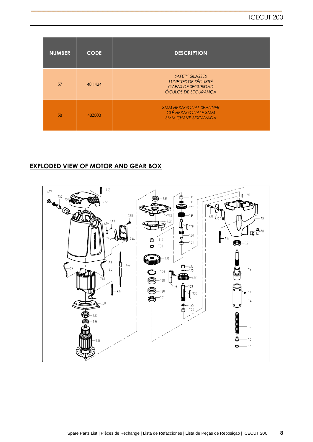| <b>NUMBER</b> | <b>CODE</b> | <b>DESCRIPTION</b>                                                                                       |
|---------------|-------------|----------------------------------------------------------------------------------------------------------|
| 57            | 48H424      | <b>SAFETY GLASSES</b><br>LUNETTES DE SÉCURITÉ<br><b>GAFAS DE SEGURIDAD</b><br><b>ÓCULOS DE SEGURANÇA</b> |
| 58            | 48Z003      | <b>3MM HEXAGONAL SPANNER</b><br>CLÉ HEXAGONALE 3MM<br><b>3MM CHAVE SEXTAVADA</b>                         |

## **EXPLODED VIEW OF MOTOR AND GEAR BOX**

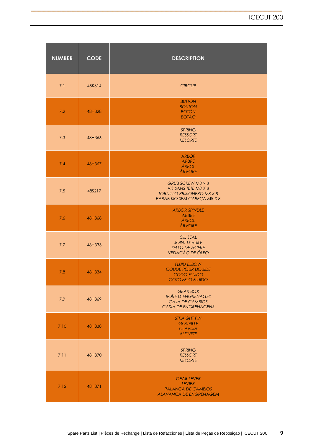| <b>NUMBER</b> | <b>CODE</b> | <b>DESCRIPTION</b>                                                                                           |
|---------------|-------------|--------------------------------------------------------------------------------------------------------------|
| 7.1           | 48K614      | <b>CIRCLIP</b>                                                                                               |
| 7.2           | 48H328      | <b>BUTTON</b><br><b>BOUTON</b><br><b>BOTÓN</b><br><b>BOTÃO</b>                                               |
| 7.3           | 48H366      | <b>SPRING</b><br><b>RESSORT</b><br><b>RESORTE</b>                                                            |
| 7.4           | 48H367      | <b>ARBOR</b><br><b>ARBRE</b><br>ÁRBOL<br>ÁRVORE                                                              |
| 7.5           | 48S217      | GRUB SCREW M8 × 8<br>VIS SANS TÊTE M8 X 8<br><b>TORNILLO PRISIONERO M8 X 8</b><br>PARAFUSO SEM CABEÇA M8 X 8 |
| 7.6           | 48H368      | <b>ARBOR SPINDLE</b><br>ARBRE<br>ÁRBOL<br>ÁRVORE                                                             |
| 7.7           | 48H333      | <b>OIL SEAL</b><br><b>JOINT D'HUILE</b><br><b>SELLO DE ACEITE</b><br>VEDAÇÃO DE ÓLEO                         |
| 7.8           | 48H334      | <b>FLUID ELBOW</b><br><b>COUDE POUR LIQUIDE</b><br><b>CODO FLUIDO</b><br><b>COTOVELO FLUIDO</b>              |
| 7.9           | 48H369      | <b>GEAR BOX</b><br><b>BOÎTE D'ENGRENAGES</b><br><b>CAJA DE CAMBIOS</b><br><b>CAIXA DE ENGRENAGENS</b>        |
| 7.10          | 48H338      | <b>STRAIGHT PIN</b><br><b>GOUPILLE</b><br><b>CLAVIJIA</b><br><b>ALFINETE</b>                                 |
| 7.11          | 48H370      | <b>SPRING</b><br><b>RESSORT</b><br><b>RESORTE</b>                                                            |
| 7.12          | 48H371      | <b>GEAR LEVER</b><br><b>LEVIER</b><br><b>PALANCA DE CAMBIOS</b><br><b>ALAVANCA DE ENGRENAGEM</b>             |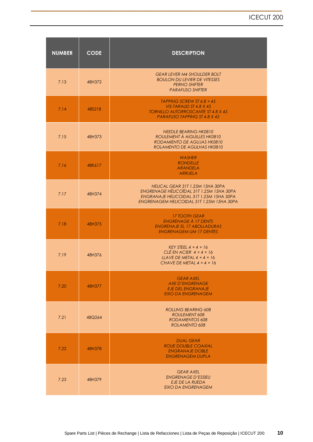| <b>NUMBER</b> | <b>CODE</b> | <b>DESCRIPTION</b>                                                                                                                                                    |
|---------------|-------------|-----------------------------------------------------------------------------------------------------------------------------------------------------------------------|
| 7.13          | 48H372      | <b>GEAR LEVER M4 SHOULDER BOLT</b><br><b>BOULON DU LEVIER DE VITESSES</b><br><b>PERNO SHIFTER</b><br><b>PARAFUSO SHIFTER</b>                                          |
| 7.14          | 48S218      | TAPPING SCREW ST 4.8 $\times$ 45<br>VIS-TARAUD ST 4.8 X 45<br><b>TORNILLO AUTORROSCANTE ST 4.8 X 45</b><br><b>PARAFUSO TAPPING ST 4.8 X 45</b>                        |
| 7.15          | 48H373      | <b>NEEDLE BEARING HK0810</b><br>ROULEMENT À AIGUILLES HK0810<br>RODAMIENTO DE AGUJAS HK0810<br>ROLAMENTO DE AGULHAS HK0810                                            |
| 7.16          | 48K617      | <b>WASHER</b><br><b>RONDELLE</b><br><b>ARANDELA</b><br><b>ARRUELA</b>                                                                                                 |
| 7.17          | 48H374      | HELICAL GEAR 31T 1.25M 15HA 30PA<br>ENGRENAGE HÉLICOÏDAL 31T 1.25M 15HA 30PA<br>ENGRANAJE HELICOIDAL 31T 1.25M 15HA 30PA<br>ENGRENAGEM HELICOIDAL 31T 1.25M 15HA 30PA |
| 7.18          | 48H375      | <b>17 TOOTH GEAR</b><br><b>ENGRENAGE À 17 DENTS</b><br><b>ENGRENAJE EL 17 ABOLLADURAS</b><br><b>ENGRENAGEM UM 17 DENTES</b>                                           |
| 7.19          | 48H376      | KEY STEEL $4 \times 4 \times 16$<br>CLÉ EN ACIER $4 \times 4 \times 16$<br>LLAVE DE METAL $4 \times 4 \times 16$<br>CHAVE DE METAL $4 \times 4 \times 16$             |
| 7.20          | 48H377      | <b>GEAR AXEL</b><br><b>AXE D'ENGRENAGE</b><br><b>EJE DEL ENGRANAJE</b><br><b>EIXO DA ENGRENAGEM</b>                                                                   |
| 7.21          | 48Q264      | <b>ROLLING BEARING 608</b><br>ROULEMENT 608<br><b>RODAMIENTOS 608</b><br>ROLAMENTO 608                                                                                |
| 7.22          | 48H378      | <b>DUAL GEAR</b><br><b>ROUE DOUBLE COAXIAL</b><br><b>ENGRANAJE DOBLE</b><br><b>ENGRENAGEM DUPLA</b>                                                                   |
| 7.23          | 48H379      | <b>GEAR AXEL</b><br><b>ENGRENAGE D'ESSIEU</b><br>EJE DE LA RUEDA<br><b>EIXO DA ENGRENAGEM</b>                                                                         |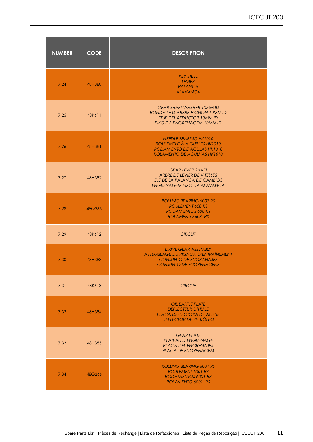| <b>NUMBER</b> | <b>CODE</b> | <b>DESCRIPTION</b>                                                                                                                    |
|---------------|-------------|---------------------------------------------------------------------------------------------------------------------------------------|
| 7.24          | 48H380      | <b>KEY STEEL</b><br>LEVIER<br><b>PALANCA</b><br><b>ALAVANCA</b>                                                                       |
| 7.25          | 48K611      | <b>GEAR SHAFT WASHER 10MM ID</b><br>RONDELLE D'ARBRE-PIGNON 10MM ID<br><b>EEJE DEL REDUCTOR 10MM ID</b><br>EIXO DA ENGRENAGEM 10MM ID |
| 7.26          | 48H381      | <b>NEEDLE BEARING HK1010</b><br>ROULEMENT A AIGUILLES HK1010<br>RODAMIENTO DE AGUJAS HK1010<br>ROLAMENTO DE AGULHAS HK1010            |
| 7.27          | 48H382      | <b>GEAR LEVER SHAFT</b><br>ARBRE DE LEVIER DE VITESSES<br>EJE DE LA PALANCA DE CAMBIOS<br>ENGRENAGEM EIXO DA ALAVANCA                 |
| 7.28          | 48Q265      | <b>ROLLING BEARING 6003 RS</b><br><b>ROULEMENT 608 RS</b><br><b>RODAMIENTOS 608 RS</b><br>ROLAMENTO 608 RS                            |
| 7.29          | 48K612      | <b>CIRCLIP</b>                                                                                                                        |
| 7.30          | 48H383      | <b>DRIVE GEAR ASSEMBLY</b><br>ASSEMBLAGE DU PIGNON D'ENTRAÎNEMENT<br><b>CONJUNTO DE ENGRANAJES</b><br><b>CONJUNTO DE ENGRENAGENS</b>  |
| 7.31          | 48K613      | <b>CIRCLIP</b>                                                                                                                        |
| 7.32          | 48H384      | <b>OIL BAFFLE PLATE</b><br><b>DÉFLECTEUR D'HUILE</b><br>PLACA DEFLECTORA DE ACEITE<br><b>DEFLECTOR DE PETRÓLEO</b>                    |
| 7.33          | 48H385      | <b>GEAR PLATE</b><br><b>PLATEAU D'ENGRENAGE</b><br><b>PLACA DEL ENGRENAJES</b><br>PLACA DE ENGRENAGEM                                 |
| 7.34          | 48Q266      | <b>ROLLING BEARING 6001 RS</b><br><b>ROULEMENT 6001 RS</b><br><b>RODAMIENTOS 6001 RS</b><br>ROLAMENTO 6001 RS                         |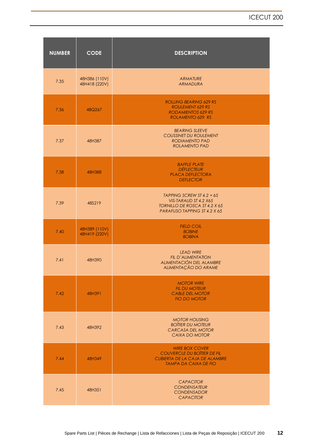| <b>NUMBER</b> | <b>CODE</b>                    | <b>DESCRIPTION</b>                                                                                                                |
|---------------|--------------------------------|-----------------------------------------------------------------------------------------------------------------------------------|
| 7.35          | 48H386 (110V)<br>48H418 (220V) | <b>ARMATURE</b><br>ARMADURA                                                                                                       |
| 7.36          | 48Q267                         | <b>ROLLING BEARING 629 RS</b><br><b>ROULEMENT 629 RS</b><br><b>RODAMIENTOS 629 RS</b><br>ROLAMENTO 629 RS                         |
| 7.37          | 48H387                         | <b>BEARING SLEEVE</b><br><b>COUSSINET DU ROULEMENT</b><br>RODIAMENTO PAD<br><b>ROLAMENTO PAD</b>                                  |
| 7.38          | 48H388                         | <b>BAFFLE PLATE</b><br><b>DÉFLECTEUR</b><br><b>PLACA DEFLECTORA</b><br><b>DEFLECTOR</b>                                           |
| 7.39          | 48S219                         | TAPPING SCREW ST 4.2 $\times$ 65<br>VIS-TARAUD ST 4.2 X65<br><b>TORNILLO DE ROSCA ST 4.2 X 65</b><br>PARAFUSO TAPPING ST 4.2 X 65 |
| 7.40          | 48H389 (110V)<br>48H419 (220V) | <b>FIELD COIL</b><br><b>BOBINE</b><br><b>BOBINA</b>                                                                               |
| 7.41          | 48H390                         | <b>LEAD WIRE</b><br><b>FIL D'ALIMENTATION</b><br>ALIMENTACIÓN DEL ALAMBRE<br>ALIMENTAÇÃO DO ARAME                                 |
| 7.42          | 48H391                         | <b>MOTOR WIRE</b><br><b>FIL DU MOTEUR</b><br><b>CABLE DEL MOTOR</b><br><b>FIO DO MOTOR</b>                                        |
| 7.43          | 48H392                         | <b>MOTOR HOUSING</b><br><b>BOÎTIER DU MOTEUR</b><br><b>CARCASA DEL MOTOR</b><br><b>CAIXA DO MOTOR</b>                             |
| 7.44          | 48H349                         | <b>WIRE BOX COVER</b><br>COUVERCLE DU BOÎTIER DE FIL<br><b>CUBIERTA DE LA CAJA DE ALAMBRE</b><br><b>TAMPA DA CAIXA DE FIO</b>     |
| 7.45          | 48H351                         | <b>CAPACITOR</b><br><b>CONDENSATEUR</b><br><b>CONDENSADOR</b><br><b>CAPACITOR</b>                                                 |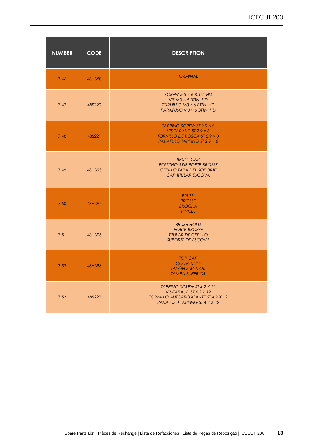| <b>NUMBER</b> | <b>CODE</b> | <b>DESCRIPTION</b>                                                                                                                           |
|---------------|-------------|----------------------------------------------------------------------------------------------------------------------------------------------|
| 7.46          | 48H350      | <b>TERMINAL</b>                                                                                                                              |
| 7.47          | 48S220      | $SCREW M3 \times 6 B TIN HD$<br>VIS $M3 \times 6$ BTTN HD<br>TORNILLO M3 × 6 BTTN HD<br>PARAFUSO M3 × 6 BTTN HD                              |
| 7.48          | 48S221      | TAPPING SCREW ST 2.9 $\times$ 8<br>VIS-TARAUD ST 2.9 $\times$ 8<br>TORNILLO DE ROSCA ST $2.9 \times 8$<br><b>PARAFUSO TAPPING ST 2.9 × 8</b> |
| 7.49          | 48H393      | <b>BRUSH CAP</b><br><b>BOUCHON DE PORTE-BROSSE</b><br><b>CEPILLO TAPA DEL SOPORTE</b><br>CAP TITULAR ESCOVA                                  |
| 7.50          | 48H394      | <b>BRUSH</b><br><b>BROSSE</b><br><b>BROCHA</b><br><b>PINCEL</b>                                                                              |
| 7.51          | 48H395      | <b>BRUSH HOLD</b><br><b>PORTE-BROSSE</b><br><b>TITULAR DE CEPILLO</b><br><b>SUPORTE DE ESCOVA</b>                                            |
| 7.52          | 48H396      | <b>TOP CAP</b><br><b>COUVERCLE</b><br><b>TAPÓN SUPERIOR</b><br><b>TAMPA SUPERIOR</b>                                                         |
| 7.53          | 48S222      | TAPPING SCREW ST 4.2 X 12<br>VIS-TARAUD ST 4.2 X 12<br><b>TORNILLO AUTORROSCANTE ST 4.2 X 12</b><br>PARAFUSO TAPPING ST 4.2 X 12             |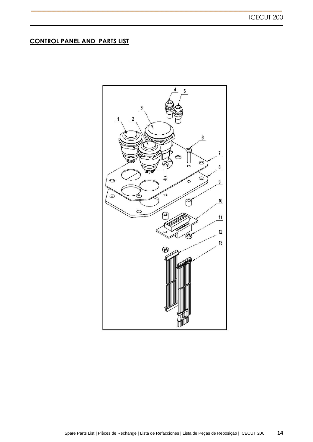### **CONTROL PANEL AND PARTS LIST**

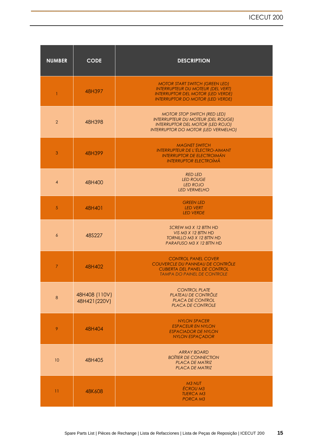| <b>NUMBER</b>  | <b>CODE</b>                    | <b>DESCRIPTION</b>                                                                                                                                                       |
|----------------|--------------------------------|--------------------------------------------------------------------------------------------------------------------------------------------------------------------------|
| $\mathbf{1}$   | 48H397                         | <b>MOTOR START SWITCH (GREEN LED)</b><br><b>INTERRUPTEUR DU MOTEUR (DEL VERT)</b><br><b>INTERRUPTOR DEL MOTOR (LED VERDE)</b><br><b>INTERRUPTOR DO MOTOR (LED VERDE)</b> |
| 2              | 48H398                         | <b>MOTOR STOP SWITCH (RED LED)</b><br><b>INTERRUPTEUR DU MOTEUR (DEL ROUGE)</b><br><b>INTERRUPTOR DEL MOTOR (LED ROJO)</b><br><b>INTERRUPTOR DO MOTOR (LED VERMELHO)</b> |
| 3              | 48H399                         | <b>MAGNET SWITCH</b><br><b>INTERRUPTEUR DE L'ÉLECTRO-AIMANT</b><br><b>INTERRUPTOR DE ELECTROIMÁN</b><br><b>INTERRUPTOR ELECTROÍMÃ</b>                                    |
| $\overline{4}$ | 48H400                         | <b>RED LED</b><br><b>LED ROUGE</b><br><b>LED ROJO</b><br><b>LED VERMELHO</b>                                                                                             |
| 5              | 48H401                         | <b>GREEN LED</b><br><b>LED VERT</b><br><b>LED VERDE</b>                                                                                                                  |
| 6              | 48S227                         | SCREW M3 X 12 BTTN HD<br>VIS M3 X 12 BTTN HD<br><b>TORNILLO M3 X 12 BTTN HD</b><br>PARAFUSO M3 X 12 BTTN HD                                                              |
| $\overline{7}$ | 48H402                         | <b>CONTROL PANEL COVER</b><br>COUVERCLE DU PANNEAU DE CONTRÔLE<br><b>CUBIERTA DEL PANEL DE CONTROL</b><br><b>TAMPA DO PAINEL DE CONTROLE</b>                             |
| 8              | 48H408 (110V)<br>48H421 (220V) | <b>CONTROL PLATE</b><br><b>PLATEAU DE CONTRÔLE</b><br>PLACA DE CONTROL<br>PLACA DE CONTROLE                                                                              |
| 9              | 48H404                         | <b>NYLON SPACER</b><br><b>ESPACEUR EN NYLON</b><br><b>ESPACIADOR DE NYLON</b><br><b>NYLON ESPACADOR</b>                                                                  |
| 10             | 48H405                         | <b>ARRAY BOARD</b><br><b>BOÏTIER DE CONNECTION</b><br><b>PLACA DE MATRIZ</b><br><b>PLACA DE MATRIZ</b>                                                                   |
| 11             | 48K608                         | M <sub>3</sub> NUT<br><b>ÉCROU M3</b><br><b>TUERCA M3</b><br><b>PORCA M3</b>                                                                                             |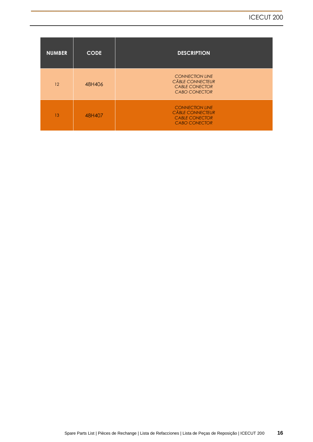| <b>NUMBER</b>   | <b>CODE</b> | <b>DESCRIPTION</b>                                                                                 |
|-----------------|-------------|----------------------------------------------------------------------------------------------------|
| 12 <sup>2</sup> | 48H406      | <b>CONNECTION LINE</b><br><b>CÂBLE CONNECTEUR</b><br><b>CABLE CONECTOR</b><br><b>CABO CONECTOR</b> |
| 13              | 48H407      | <b>CONNECTION LINE</b><br><b>CÂBLE CONNECTEUR</b><br><b>CABLE CONECTOR</b><br><b>CABO CONECTOR</b> |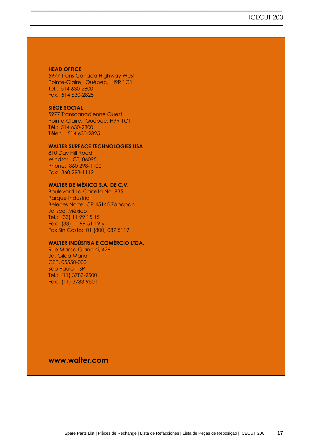#### **HEAD OFFICE**

5977 Trans Canada Highway West Pointe-Claire, Québec, H9R 1C1 Tel.: 514 630-2800 Fax: 514 630-2825

#### **SIÈGE SOCIAL**

5977 Transcanadienne Ouest Pointe-Claire, Québec, H9R 1C1 Tél.: 514 630-2800 Télec.: 514 630-2825

#### **WALTER SURFACE TECHNOLOGIES USA**

810 Day Hill Road Windsor, CT, 06095 Phone: 860 298-1100 Fax: 860 298-1112

#### **WALTER DE MÉXICO S.A. DE C.V.**

Boulevard La Carreta No. 835 Parque Industrial Belenes Norte, CP 45145 Zapopan Jalisco, México Tel.: (33) 11 99 15 15 Fax: (33) 11 99 51 19 y Fax Sin Costo: 01 (800) 087 5119

#### **WALTER INDÚSTRIA E COMÉRCIO LTDA.**

Rue Marco Giannini, 426 Jd. Gilda Maria CEP. 05550-000 São Paulo – SP Tel.: (11) 3783-9500 Fax: (11) 3783-9501

**www.walter.com**